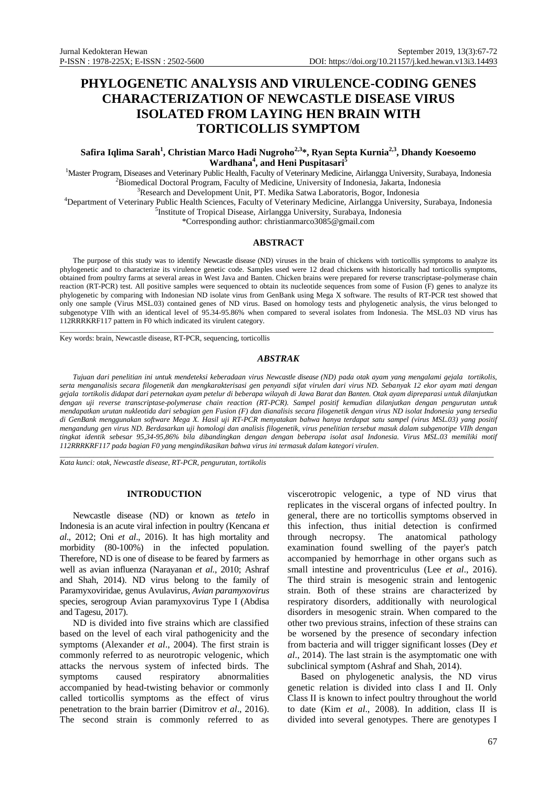# **PHYLOGENETIC ANALYSIS AND VIRULENCE-CODING GENES CHARACTERIZATION OF NEWCASTLE DISEASE VIRUS ISOLATED FROM LAYING HEN BRAIN WITH TORTICOLLIS SYMPTOM**

# **Safira Iqlima Sarah<sup>1</sup> , Christian Marco Hadi Nugroho2,3\*, Ryan Septa Kurnia2,3, Dhandy Koesoemo Wardhana<sup>4</sup> , and Heni Puspitasari<sup>5</sup>**

<sup>1</sup>Master Program, Diseases and Veterinary Public Health, Faculty of Veterinary Medicine, Airlangga University, Surabaya, Indonesia <sup>2</sup>Biomedical Doctoral Program, Faculty of Medicine, University of Indonesia, Jakarta, Indonesia

<sup>3</sup>Research and Development Unit, PT. Medika Satwa Laboratoris, Bogor, Indonesia

<sup>4</sup>Department of Veterinary Public Health Sciences, Faculty of Veterinary Medicine, Airlangga University, Surabaya, Indonesia 5 Institute of Tropical Disease, Airlangga University, Surabaya, Indonesia

\*Corresponding author: christianmarco3085@gmail.com

#### **ABSTRACT**

The purpose of this study was to identify Newcastle disease (ND) viruses in the brain of chickens with torticollis symptoms to analyze its phylogenetic and to characterize its virulence genetic code. Samples used were 12 dead chickens with historically had torticollis symptoms, obtained from poultry farms at several areas in West Java and Banten. Chicken brains were prepared for reverse transcriptase-polymerase chain reaction (RT-PCR) test. All positive samples were sequenced to obtain its nucleotide sequences from some of Fusion (F) genes to analyze its phylogenetic by comparing with Indonesian ND isolate virus from GenBank using Mega X software. The results of RT-PCR test showed that only one sample (Virus MSL.03) contained genes of ND virus. Based on homology tests and phylogenetic analysis, the virus belonged to subgenotype VIIh with an identical level of 95.34-95.86% when compared to several isolates from Indonesia. The MSL.03 ND virus has 112RRRKRF117 pattern in F0 which indicated its virulent category.

\_\_\_\_\_\_\_\_\_\_\_\_\_\_\_\_\_\_\_\_\_\_\_\_\_\_\_\_\_\_\_\_\_\_\_\_\_\_\_\_\_\_\_\_\_\_\_\_\_\_\_\_\_\_\_\_\_\_\_\_\_\_\_\_\_\_\_\_\_\_\_\_\_\_\_\_\_\_\_\_\_\_\_\_\_\_\_\_\_\_\_\_\_\_\_\_\_\_\_\_\_\_\_\_\_\_\_\_\_\_\_\_\_\_\_\_ Key words: brain, Newcastle disease, RT-PCR, sequencing, torticollis

#### *ABSTRAK*

*Tujuan dari penelitian ini untuk mendeteksi keberadaan virus Newcastle disease (ND) pada otak ayam yang mengalami gejala tortikolis, serta menganalisis secara filogenetik dan mengkarakterisasi gen penyandi sifat virulen dari virus ND. Sebanyak 12 ekor ayam mati dengan gejala tortikolis didapat dari peternakan ayam petelur di beberapa wilayah di Jawa Barat dan Banten. Otak ayam dipreparasi untuk dilanjutkan dengan uji reverse transcriptase-polymerase chain reaction (RT-PCR). Sampel positif kemudian dilanjutkan dengan pengurutan untuk mendapatkan urutan nukleotida dari sebagian gen Fusion (F) dan dianalisis secara filogenetik dengan virus ND isolat Indonesia yang tersedia di GenBank menggunakan software Mega X. Hasil uji RT-PCR menyatakan bahwa hanya terdapat satu sampel (virus MSL.03) yang positif mengandung gen virus ND. Berdasarkan uji homologi dan analisis filogenetik, virus penelitian tersebut masuk dalam subgenotipe VIIh dengan tingkat identik sebesar 95,34-95,86% bila dibandingkan dengan dengan beberapa isolat asal Indonesia. Virus MSL.03 memiliki motif 112RRRKRF117 pada bagian F0 yang mengindikasikan bahwa virus ini termasuk dalam kategori virulen.*

\_\_\_\_\_\_\_\_\_\_\_\_\_\_\_\_\_\_\_\_\_\_\_\_\_\_\_\_\_\_\_\_\_\_\_\_\_\_\_\_\_\_\_\_\_\_\_\_\_\_\_\_\_\_\_\_\_\_\_\_\_\_\_\_\_\_\_\_\_\_\_\_\_\_\_\_\_\_\_\_\_\_\_\_\_\_\_\_\_\_\_\_\_\_\_\_\_\_\_\_\_\_\_\_\_\_\_\_\_\_\_\_\_\_\_\_

*Kata kunci: otak, Newcastle disease, RT-PCR, pengurutan, tortikolis*

## **INTRODUCTION**

Newcastle disease (ND) or known as *tetelo* in Indonesia is an acute viral infection in poultry (Kencana *et al*., 2012; Oni *et al*., 2016). It has high mortality and morbidity (80-100%) in the infected population. Therefore, ND is one of disease to be feared by farmers as well as avian influenza (Narayanan *et al*., 2010; Ashraf and Shah, 2014). ND virus belong to the family of Paramyxoviridae, genus Avulavirus, *Avian paramyxovirus* species, serogroup Avian paramyxovirus Type I (Abdisa and Tagesu, 2017).

ND is divided into five strains which are classified based on the level of each viral pathogenicity and the symptoms (Alexander *et al*., 2004). The first strain is commonly referred to as neurotropic velogenic, which attacks the nervous system of infected birds. The symptoms caused respiratory abnormalities accompanied by head-twisting behavior or commonly called torticollis symptoms as the effect of virus penetration to the brain barrier (Dimitrov *et al*., 2016). The second strain is commonly referred to as

viscerotropic velogenic, a type of ND virus that replicates in the visceral organs of infected poultry. In general, there are no torticollis symptoms observed in this infection, thus initial detection is confirmed through necropsy. The anatomical pathology examination found swelling of the payer's patch accompanied by hemorrhage in other organs such as small intestine and proventriculus (Lee *et al*., 2016). The third strain is mesogenic strain and lentogenic strain. Both of these strains are characterized by respiratory disorders, additionally with neurological disorders in mesogenic strain. When compared to the other two previous strains, infection of these strains can be worsened by the presence of secondary infection from bacteria and will trigger significant losses (Dey *et al*., 2014). The last strain is the asymptomatic one with subclinical symptom (Ashraf and Shah, 2014).

Based on phylogenetic analysis, the ND virus genetic relation is divided into class I and II. Only Class II is known to infect poultry throughout the world to date (Kim *et al*., 2008). In addition, class II is divided into several genotypes. There are genotypes I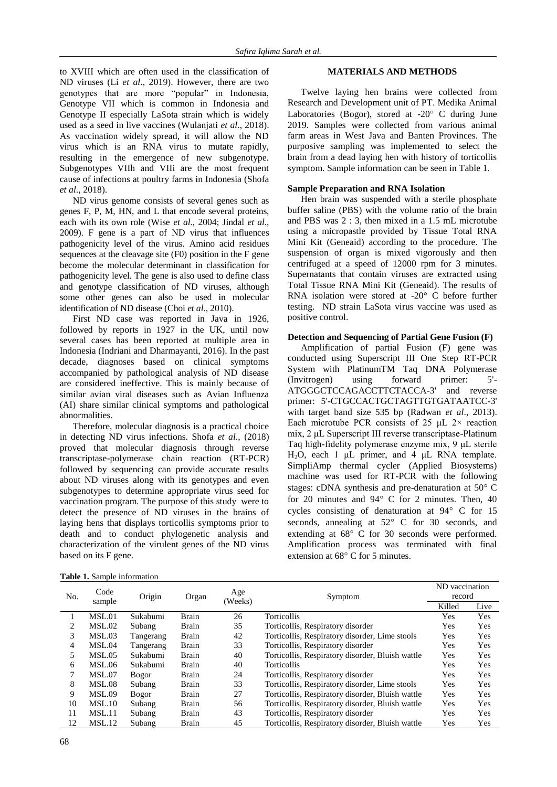to XVIII which are often used in the classification of ND viruses (Li *et al*., 2019). However, there are two genotypes that are more "popular" in Indonesia, Genotype VII which is common in Indonesia and Genotype II especially LaSota strain which is widely used as a seed in live vaccines (Wulanjati *et al*., 2018). As vaccination widely spread, it will allow the ND virus which is an RNA virus to mutate rapidly, resulting in the emergence of new subgenotype. Subgenotypes VIIh and VIIi are the most frequent cause of infections at poultry farms in Indonesia (Shofa *et al*., 2018).

ND virus genome consists of several genes such as genes F, P, M, HN, and L that encode several proteins, each with its own role (Wise *et al*., 2004; Jindal *et al*., 2009). F gene is a part of ND virus that influences pathogenicity level of the virus. Amino acid residues sequences at the cleavage site (F0) position in the F gene become the molecular determinant in classification for pathogenicity level. The gene is also used to define class and genotype classification of ND viruses, although some other genes can also be used in molecular identification of ND disease (Choi *et al*., 2010).

First ND case was reported in Java in 1926, followed by reports in 1927 in the UK, until now several cases has been reported at multiple area in Indonesia (Indriani and Dharmayanti, 2016). In the past decade, diagnoses based on clinical symptoms accompanied by pathological analysis of ND disease are considered ineffective. This is mainly because of similar avian viral diseases such as Avian Influenza (AI) share similar clinical symptoms and pathological abnormalities.

Therefore, molecular diagnosis is a practical choice in detecting ND virus infections. Shofa *et al*., (2018) proved that molecular diagnosis through reverse transcriptase-polymerase chain reaction (RT-PCR) followed by sequencing can provide accurate results about ND viruses along with its genotypes and even subgenotypes to determine appropriate virus seed for vaccination program. The purpose of this study were to detect the presence of ND viruses in the brains of laying hens that displays torticollis symptoms prior to death and to conduct phylogenetic analysis and characterization of the virulent genes of the ND virus based on its F gene.

## **MATERIALS AND METHODS**

Twelve laying hen brains were collected from Research and Development unit of PT. Medika Animal Laboratories (Bogor), stored at -20° C during June 2019. Samples were collected from various animal farm areas in West Java and Banten Provinces. The purposive sampling was implemented to select the brain from a dead laying hen with history of torticollis symptom. Sample information can be seen in Table 1.

## **Sample Preparation and RNA Isolation**

Hen brain was suspended with a sterile phosphate buffer saline (PBS) with the volume ratio of the brain and PBS was 2 : 3, then mixed in a 1.5 mL microtube using a micropastle provided by Tissue Total RNA Mini Kit (Geneaid) according to the procedure. The suspension of organ is mixed vigorously and then centrifuged at a speed of 12000 rpm for 3 minutes. Supernatants that contain viruses are extracted using Total Tissue RNA Mini Kit (Geneaid). The results of RNA isolation were stored at -20° C before further testing. ND strain LaSota virus vaccine was used as positive control.

# **Detection and Sequencing of Partial Gene Fusion (F)**

Amplification of partial Fusion (F) gene was conducted using Superscript III One Step RT-PCR System with PlatinumTM Taq DNA Polymerase (Invitrogen) using forward primer: 5'- ATGGGCTCCAGACCTTCTACCA-3' and reverse primer: 5'-CTGCCACTGCTAGTTGTGATAATCC-3' with target band size 535 bp (Radwan *et al*., 2013). Each microtube PCR consists of 25  $\mu$ L 2× reaction mix, 2 μL Superscript III reverse transcriptase-Platinum Taq high-fidelity polymerase enzyme mix, 9 μL sterile H2O, each 1 μL primer, and 4 μL RNA template. SimpliAmp thermal cycler (Applied Biosystems) machine was used for RT-PCR with the following stages: cDNA synthesis and pre-denaturation at  $50^{\circ}$  C for 20 minutes and  $94^{\circ}$  C for 2 minutes. Then, 40 cycles consisting of denaturation at  $94^{\circ}$  C for 15 seconds, annealing at  $52^{\circ}$  C for 30 seconds, and extending at  $68^{\circ}$  C for 30 seconds were performed. Amplification process was terminated with final extension at  $68^{\circ}$  C for 5 minutes.

|  |  | Table 1. Sample information |  |  |
|--|--|-----------------------------|--|--|
|--|--|-----------------------------|--|--|

| No. | Code<br>sample | Origin       | Organ        | Age<br>(Weeks) |                                                  | ND vaccination |      |
|-----|----------------|--------------|--------------|----------------|--------------------------------------------------|----------------|------|
|     |                |              |              |                | Symptom                                          | record         |      |
|     |                |              |              |                |                                                  | Killed         | Live |
|     | MSL.01         | Sukabumi     | <b>Brain</b> | 26             | Torticollis                                      | Yes            | Yes  |
| 2   | MSL.02         | Subang       | Brain        | 35             | Torticollis, Respiratory disorder                | Yes            | Yes  |
| 3   | MSL.03         | Tangerang    | Brain        | 42             | Torticollis, Respiratory disorder, Lime stools   | Yes            | Yes  |
| 4   | MSL.04         | Tangerang    | Brain        | 33             | Torticollis, Respiratory disorder                | Yes            | Yes  |
|     | MSL.05         | Sukabumi     | Brain        | 40             | Torticollis, Respiratory disorder, Bluish wattle | Yes            | Yes  |
| 6   | MSL.06         | Sukabumi     | Brain        | 40             | Torticollis                                      | Yes            | Yes  |
|     | <b>MSL.07</b>  | <b>Bogor</b> | Brain        | 24             | Torticollis, Respiratory disorder                | Yes            | Yes  |
| 8   | MSL.08         | Subang       | Brain        | 33             | Torticollis, Respiratory disorder, Lime stools   | Yes            | Yes  |
| 9   | MSL.09         | Bogor        | Brain        | 27             | Torticollis, Respiratory disorder, Bluish wattle | Yes            | Yes  |
| 10  | MSL.10         | Subang       | Brain        | 56             | Torticollis, Respiratory disorder, Bluish wattle | Yes            | Yes  |
| 11  | MSL.11         | Subang       | Brain        | 43             | Torticollis, Respiratory disorder                | Yes            | Yes  |
| 12  | MSL.12         | Subang       | Brain        | 45             | Torticollis, Respiratory disorder, Bluish wattle | Yes            | Yes  |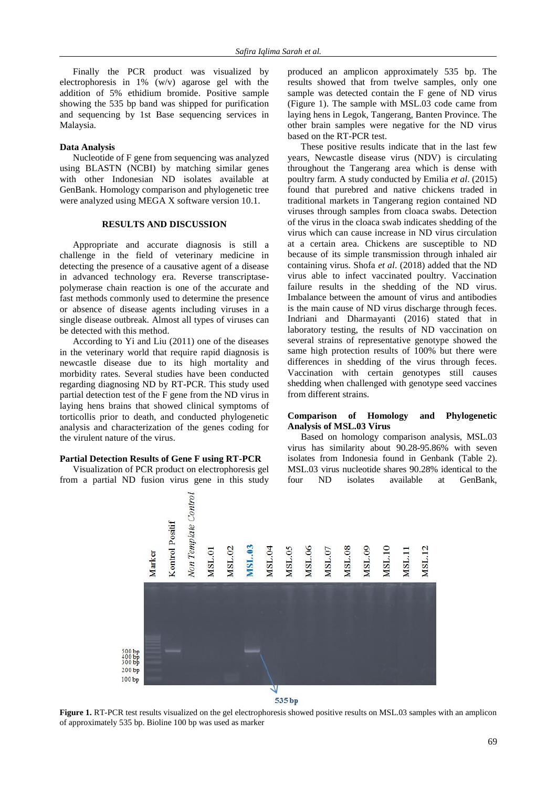Finally the PCR product was visualized by electrophoresis in 1% (w/v) agarose gel with the addition of 5% ethidium bromide. Positive sample showing the 535 bp band was shipped for purification and sequencing by 1st Base sequencing services in Malaysia.

### **Data Analysis**

Nucleotide of F gene from sequencing was analyzed using BLASTN (NCBI) by matching similar genes with other Indonesian ND isolates available at GenBank. Homology comparison and phylogenetic tree were analyzed using MEGA X software version 10.1.

### **RESULTS AND DISCUSSION**

Appropriate and accurate diagnosis is still a challenge in the field of veterinary medicine in detecting the presence of a causative agent of a disease in advanced technology era. Reverse transcriptasepolymerase chain reaction is one of the accurate and fast methods commonly used to determine the presence or absence of disease agents including viruses in a single disease outbreak. Almost all types of viruses can be detected with this method.

According to Yi and Liu (2011) one of the diseases in the veterinary world that require rapid diagnosis is newcastle disease due to its high mortality and morbidity rates. Several studies have been conducted regarding diagnosing ND by RT-PCR. This study used partial detection test of the F gene from the ND virus in laying hens brains that showed clinical symptoms of torticollis prior to death, and conducted phylogenetic analysis and characterization of the genes coding for the virulent nature of the virus.

#### **Partial Detection Results of Gene F using RT-PCR**

Visualization of PCR product on electrophoresis gel from a partial ND fusion virus gene in this study

produced an amplicon approximately 535 bp. The results showed that from twelve samples, only one sample was detected contain the F gene of ND virus (Figure 1). The sample with MSL.03 code came from laying hens in Legok, Tangerang, Banten Province. The other brain samples were negative for the ND virus based on the RT-PCR test.

These positive results indicate that in the last few years, Newcastle disease virus (NDV) is circulating throughout the Tangerang area which is dense with poultry farm. A study conducted by Emilia *et al*. (2015) found that purebred and native chickens traded in traditional markets in Tangerang region contained ND viruses through samples from cloaca swabs. Detection of the virus in the cloaca swab indicates shedding of the virus which can cause increase in ND virus circulation at a certain area. Chickens are susceptible to ND because of its simple transmission through inhaled air containing virus. Shofa *et al*. (2018) added that the ND virus able to infect vaccinated poultry. Vaccination failure results in the shedding of the ND virus. Imbalance between the amount of virus and antibodies is the main cause of ND virus discharge through feces. Indriani and Dharmayanti (2016) stated that in laboratory testing, the results of ND vaccination on several strains of representative genotype showed the same high protection results of 100% but there were differences in shedding of the virus through feces. Vaccination with certain genotypes still causes shedding when challenged with genotype seed vaccines from different strains.

## **Comparison of Homology and Phylogenetic Analysis of MSL.03 Virus**

Based on homology comparison analysis, MSL.03 virus has similarity about 90.28-95.86% with seven isolates from Indonesia found in Genbank (Table 2). MSL.03 virus nucleotide shares 90.28% identical to the four ND isolates available at GenBank,



**Figure 1.** RT-PCR test results visualized on the gel electrophoresis showed positive results on MSL.03 samples with an amplicon of approximately 535 bp. Bioline 100 bp was used as marker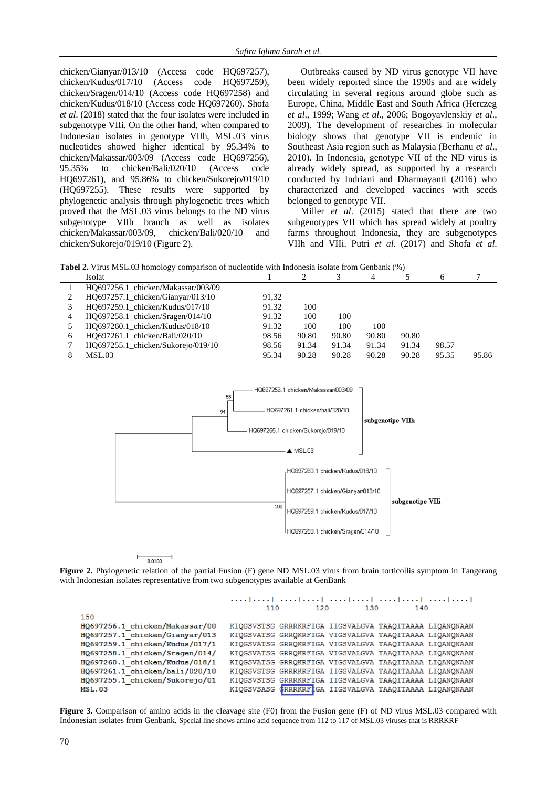chicken/Gianyar/013/10 (Access code HQ697257), chicken/Kudus/017/10 (Access code HQ697259), chicken/Sragen/014/10 (Access code HQ697258) and chicken/Kudus/018/10 (Access code HQ697260). Shofa *et al*. (2018) stated that the four isolates were included in subgenotype VIIi. On the other hand, when compared to Indonesian isolates in genotype VIIh, MSL.03 virus nucleotides showed higher identical by 95.34% to chicken/Makassar/003/09 (Access code HQ697256), 95.35% to chicken/Bali/020/10 (Access code HQ697261), and 95.86% to chicken/Sukorejo/019/10 (HQ697255). These results were supported by phylogenetic analysis through phylogenetic trees which proved that the MSL.03 virus belongs to the ND virus subgenotype VIIh branch as well as isolates chicken/Makassar/003/09, chicken/Bali/020/10 and chicken/Sukorejo/019/10 (Figure 2).

Outbreaks caused by ND virus genotype VII have been widely reported since the 1990s and are widely circulating in several regions around globe such as Europe, China, Middle East and South Africa (Herczeg *et al*., 1999; Wang *et al*., 2006; Bogoyavlenskiy *et al*., 2009). The development of researches in molecular biology shows that genotype VII is endemic in Southeast Asia region such as Malaysia (Berhanu *et al*., 2010). In Indonesia, genotype VII of the ND virus is already widely spread, as supported by a research conducted by Indriani and Dharmayanti (2016) who characterized and developed vaccines with seeds belonged to genotype VII.

Miller *et al*. (2015) stated that there are two subgenotypes VII which has spread widely at poultry farms throughout Indonesia, they are subgenotypes VIIh and VIIi. Putri *et al*. (2017) and Shofa *et al*.

**Tabel 2.** Virus MSL.03 homology comparison of nucleotide with Indonesia isolate from Genbank (%)

|   | Isolat                             |       |       |       | 4     |       |       |       |
|---|------------------------------------|-------|-------|-------|-------|-------|-------|-------|
|   | HO697256.1 chicken/Makassar/003/09 |       |       |       |       |       |       |       |
|   | HQ697257.1_chicken/Gianyar/013/10  | 91.32 |       |       |       |       |       |       |
|   | HO697259.1 chicken/Kudus/017/10    | 91.32 | 100   |       |       |       |       |       |
| 4 | HQ697258.1_chicken/Sragen/014/10   | 91.32 | 100   | 100   |       |       |       |       |
|   | HO697260.1 chicken/Kudus/018/10    | 91.32 | 100   | 100   | 100   |       |       |       |
| 6 | HO697261.1 chicken/Bali/020/10     | 98.56 | 90.80 | 90.80 | 90.80 | 90.80 |       |       |
|   | HQ697255.1_chicken/Sukorejo/019/10 | 98.56 | 91.34 | 91.34 | 91.34 | 91.34 | 98.57 |       |
|   | MSL.03                             | 95.34 | 90.28 | 90.28 | 90.28 | 90.28 | 95.35 | 95.86 |



 $0.0100$ 

**Figure 2.** Phylogenetic relation of the partial Fusion (F) gene ND MSL.03 virus from brain torticollis symptom in Tangerang with Indonesian isolates representative from two subgenotypes available at GenBank

المتماريتين المتماريتين المتماريتين المتماريتين المتماريتين

110 120 130 140 150 HQ697256.1 chicken/Makassar/00 KIQGSVSTSG GRRRKRFIGA IIGSVALGVA TAAQITAAAA LIQANQNAAN HQ697257.1 chicken/Gianyar/013 KIQGSVATSG GRRQKRFIGA VIGSVALGVA TAAQITAAAA LIQANQNAAN H0697259.1 chicken/Kudus/017/1 KIQGSVATSG GRRQKRFIGA VIGSVALGVA TAAQITAAAA LIQANQNAAN KIQGSVATSG GRRQKRFIGA VIGSVALGVA TAAQITAAAA LIQANQNAAN HQ697258.1 chicken/Sragen/014/ KIQGSVATSG GRRQKRFIGA VIGSVALGVA TAAQITAAAA LIQANQNAAN HQ697260.1\_chicken/Kudus/018/1 HQ697261.1\_chicken/bali/020/10 KIQGSVSTSG GRRRKRFIGA IIGSVALGVA TAAQITAAAA LIQANQNAAN HQ697255.1 chicken/Sukorejo/01 KIQGSVSTSG GRRRKRFIGA IIGSVALGVA TAAQITAAAA LIQANQNAAN **MSL.03** KIQGSVSASG (RRRKRFIGA IIGSVALGVA TAAQITAAAA LIQANQNAAN

**Figure 3.** Comparison of amino acids in the cleavage site (F0) from the Fusion gene (F) of ND virus MSL.03 compared with Indonesian isolates from Genbank. Special line shows amino acid sequence from 112 to 117 of MSL.03 viruses that is RRRKRF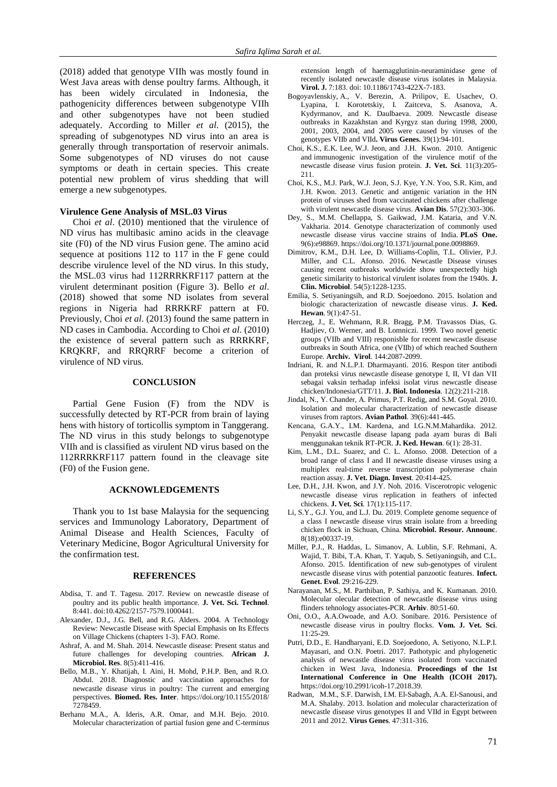(2018) added that genotype VIIh was mostly found in West Java areas with dense poultry farms. Although, it has been widely circulated in Indonesia, the pathogenicity differences between subgenotype VIIh and other subgenotypes have not been studied adequately. According to Miller *et al*. (2015), the spreading of subgenotypes ND virus into an area is generally through transportation of reservoir animals. Some subgenotypes of ND viruses do not cause symptoms or death in certain species. This create potential new problem of virus shedding that will emerge a new subgenotypes.

#### **Virulence Gene Analysis of MSL.03 Virus**

Choi *et al*. (2010) mentioned that the virulence of ND virus has multibasic amino acids in the cleavage site (F0) of the ND virus Fusion gene. The amino acid sequence at positions 112 to 117 in the F gene could describe virulence level of the ND virus. In this study, the MSL.03 virus had 112RRRKRF117 pattern at the virulent determinant position (Figure 3). Bello *et al*. (2018) showed that some ND isolates from several regions in Nigeria had RRRKRF pattern at F0. Previously, Choi *et al*. (2013) found the same pattern in ND cases in Cambodia. According to Choi *et al*. (2010) the existence of several pattern such as RRRKRF, KRQKRF, and RRQRRF become a criterion of virulence of ND virus.

#### **CONCLUSION**

Partial Gene Fusion (F) from the NDV is successfully detected by RT-PCR from brain of laying hens with history of torticollis symptom in Tanggerang. The ND virus in this study belongs to subgenotype VIIh and is classified as virulent ND virus based on the 112RRRKRF117 pattern found in the cleavage site (F0) of the Fusion gene.

#### **ACKNOWLEDGEMENTS**

Thank you to 1st base Malaysia for the sequencing services and Immunology Laboratory, Department of Animal Disease and Health Sciences, Faculty of Veterinary Medicine, Bogor Agricultural University for the confirmation test.

#### **REFERENCES**

- Abdisa, T. and T. Tagesu. 2017. Review on newcastle disease of poultry and its public health importance. **J. Vet. Sci. Technol**. 8:441. doi:10.4262/2157-7579.1000441.
- Alexander, D.J., J.G. Bell, and R.G. Alders. 2004. A Technology Review: Newcastle Disease with Special Emphasis on Its Effects on Village Chickens (chapters 1-3). FAO. Rome.
- Ashraf, A. and M. Shah. 2014. Newcastle disease: Present status and future challenges for developing countries. **African J. Microbiol. Res**. 8(5):411-416.
- Bello, M.B., Y. Khatijah, I. Aini, H. Mohd, P.H.P. Ben, and R.O. Abdul. 2018. Diagnostic and vaccination approaches for newcastle disease virus in poultry: The current and emerging perspectives. **Biomed. Res. Inter**. [https://doi.org/10.1155/2018/](https://doi.org/10.1155/2018/7278459) [7278459.](https://doi.org/10.1155/2018/7278459)
- Berhanu M.A., A. Ideris, A.R. Omar, and M.H. Bejo. 2010. Molecular characterization of partial fusion gene and C-terminus

extension length of haemagglutinin-neuraminidase gene of recently isolated newcastle disease virus isolates in Malaysia. **Virol. J.** 7:183. doi: 10.1186/1743-422X-7-183.

- Bogoyavlenskiy, A., V. Berezin, A. Prilipov, E. Usachev, O. Lyapina, I. Korotetskiy, I. Zaitceva, S. Asanova, A. Kydyrmanov, and K. Daulbaeva. 2009. Newcastle disease outbreaks in Kazakhstan and Kyrgyz stan during 1998, 2000, 2001, 2003, 2004, and 2005 were caused by viruses of the genotypes VIIb and VIId**. [Virus Genes.](https://www.ncbi.nlm.nih.gov/pubmed/19466536)** 39(1):94-101.
- Choi, K.S., E.K. Lee, W.J. Jeon, and J.H. Kwon. 2010. Antigenic and immunogenic investigation of the virulence motif of the newcastle disease virus fusion protein. **J. Vet. Sci**. 11(3):205- 211.
- Choi, K.S., M.J. Park, W.J. Jeon, S.J. Kye, Y.N. Yoo, S.R. Kim, and J.H. Kwon. 2013. Genetic and antigenic variation in the HN protein of viruses shed from vaccinated chickens after challenge with virulent newcastle disease virus. **Avian Dis**. 57(2):303-306.
- Dey, S., M.M. Chellappa, S. Gaikwad, J.M. Kataria, and V.N. Vakharia. 2014. Genotype characterization of commonly used newcastle disease virus vaccine strains of India. **PLoS One.** 9(6):e98869. [https://doi.org/10.1371/journal.pone.0098869.](https://doi.org/10.1371/journal.pone.0098869)
- Dimitrov, K.M., D.H. Lee, D. Williams-Coplin, T.L. Olivier, P.J. Miller, and C.L. Afonso. 2016. Newcastle Disease viruses causing recent outbreaks worldwide show unexpectedly high genetic similarity to historical virulent isolates from the 1940s. **J. Clin. Microbiol**. 54(5):1228-1235.
- Emilia, S. Setiyaningsih, and R.D. Soejoedono. 2015. Isolation and biologic characterization of newcastle disease virus. **J. Ked. Hewan**. 9(1):47-51.
- Herczeg, J., E. Wehmann, R.R. Bragg, P.M. Travassos Dias, G. Hadjiev, O. Werner, and B. Lomniczi. 1999. Two novel genetic groups (VIIb and VIII) responisble for recent newcastle disease outbreaks in South Africa, one (VIIb) of which reached Southern Europe. **Archiv. Virol**. 144:2087-2099.
- Indriani, R. and N.L.P.I. Dharmayanti. 2016. Respon titer antibodi dan proteksi virus newcastle disease genotype I, II, VI dan VII sebagai vaksin terhadap infeksi isolat virus newcastle disease chicken/Indonesia/GTT/11. **J. Biol. Indonesia**. 12(2):211-218.
- Jindal, N., Y. Chander, A. Primus, P.T. Redig, and S.M. Goyal. 2010. Isolation and molecular characterization of newcastle disease viruses from raptors. **Avian Pathol**. 39(6):441-445.
- Kencana, G.A.Y., I.M. Kardena, and I.G.N.M.Mahardika. 2012. Penyakit newcastle disease lapang pada ayam buras di Bali menggunakan teknik RT-PCR. **J. Ked. Hewan**. 6(1): 28-31.
- Kim, L.M., D.L. Suarez, and C. L. Afonso. 2008. Detection of a broad range of class I and II newcastle disease viruses using a multiplex real-time reverse transcription polymerase chain reaction assay. **J. Vet. Diagn. Invest**. 20:414-425.
- Lee, D.H., J.H. Kwon, and J.Y. Noh. 2016. Viscerotropic velogenic newcastle disease virus replication in feathers of infected chickens. **J. Vet. Sci**. 17(1):115-117.
- Li, S.Y., G.J. You, and L.J. Du. 2019. Complete genome sequence of a class I newcastle disease virus strain isolate from a breeding chicken flock in Sichuan, China. **Microbiol. Resour. Announc**. 8(18):e00337-19.
- Miller, P.J., R. Haddas, L. Simanov, A. Lublin, S.F. Rehmani, A. Wajid, T. Bibi, T.A. Khan, T. Yaqub, S. Setiyaningsih, and C.L. Afonso. 2015. Identification of new sub-genotypes of virulent newcastle disease virus with potential panzootic features. **[Infect.](https://www.ncbi.nlm.nih.gov/pubmed/25445644)  [Genet. Evol](https://www.ncbi.nlm.nih.gov/pubmed/25445644)**. 29:216-229.
- Narayanan, M.S., M. Parthiban, P. Sathiya, and K. Kumanan. 2010. Molecular olecular detection of newcastle disease virus using flinders tehnology associates-PCR. **Arhiv**. 80:51-60.
- Oni, O.O., A.A.Owoade, and A.O. Sonibare. 2016. Persistence of newcastle disease virus in poultry flocks. **Vom. J. Vet. Sci**. 11:25-29.
- Putri, D.D., E. Handharyani, E.D. Soejoedono, A. Setiyono, N.L.P.I. Mayasari, and O.N. Poetri. 2017. Pathotypic and phylogenetic analysis of newcastle disease virus isolated from vaccinated chicken in West Java, Indonesia. **Proceedings of the 1st International Conference in One Health (ICOH 2017).**  [https://doi.org/10.2991/icoh-17.2018.39.](https://dx.doi.org/10.2991/icoh-17.2018.39)
- Radwan, M.M., S.F. Darwish, I.M. El-Sabagh, A.A. El-Sanousi, and M.A. Shalaby. 2013. Isolation and molecular characterization of newcastle disease virus genotypes II and VIId in Egypt between 2011 and 2012. **Virus Genes**. 47:311-316.